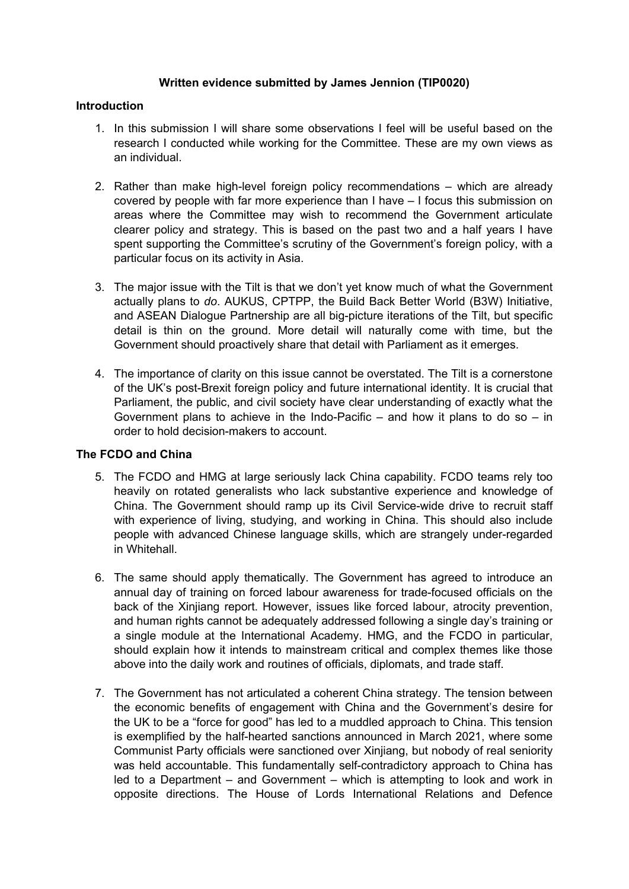### **Written evidence submitted by James Jennion (TIP0020)**

### **Introduction**

- 1. In this submission I will share some observations I feel will be useful based on the research I conducted while working for the Committee. These are my own views as an individual.
- 2. Rather than make high-level foreign policy recommendations which are already covered by people with far more experience than I have – I focus this submission on areas where the Committee may wish to recommend the Government articulate clearer policy and strategy. This is based on the past two and a half years I have spent supporting the Committee's scrutiny of the Government's foreign policy, with a particular focus on its activity in Asia.
- 3. The major issue with the Tilt is that we don't yet know much of what the Government actually plans to *do*. AUKUS, CPTPP, the Build Back Better World (B3W) Initiative, and ASEAN Dialogue Partnership are all big-picture iterations of the Tilt, but specific detail is thin on the ground. More detail will naturally come with time, but the Government should proactively share that detail with Parliament as it emerges.
- 4. The importance of clarity on this issue cannot be overstated. The Tilt is a cornerstone of the UK's post-Brexit foreign policy and future international identity. It is crucial that Parliament, the public, and civil society have clear understanding of exactly what the Government plans to achieve in the Indo-Pacific – and how it plans to do so – in order to hold decision-makers to account.

# **The FCDO and China**

- 5. The FCDO and HMG at large seriously lack China capability. FCDO teams rely too heavily on rotated generalists who lack substantive experience and knowledge of China. The Government should ramp up its Civil Service-wide drive to recruit staff with experience of living, studying, and working in China. This should also include people with advanced Chinese language skills, which are strangely under-regarded in Whitehall.
- 6. The same should apply thematically. The Government has agreed to introduce an annual day of training on forced labour awareness for trade-focused officials on the back of the Xinjiang report. However, issues like forced labour, atrocity prevention, and human rights cannot be adequately addressed following a single day's training or a single module at the International Academy. HMG, and the FCDO in particular, should explain how it intends to mainstream critical and complex themes like those above into the daily work and routines of officials, diplomats, and trade staff.
- 7. The Government has not articulated a coherent China strategy. The tension between the economic benefits of engagement with China and the Government's desire for the UK to be a "force for good" has led to a muddled approach to China. This tension is exemplified by the half-hearted sanctions announced in March 2021, where some Communist Party officials were sanctioned over Xinjiang, but nobody of real seniority was held accountable. This fundamentally self-contradictory approach to China has led to a Department – and Government – which is attempting to look and work in opposite directions. The House of Lords International Relations and Defence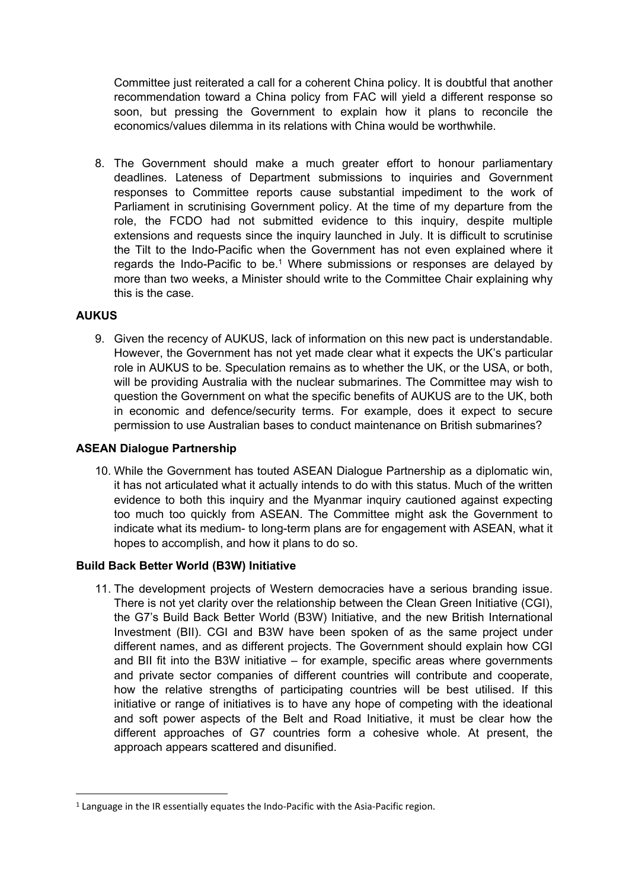Committee just reiterated a call for a coherent China policy. It is doubtful that another recommendation toward a China policy from FAC will yield a different response so soon, but pressing the Government to explain how it plans to reconcile the economics/values dilemma in its relations with China would be worthwhile.

8. The Government should make a much greater effort to honour parliamentary deadlines. Lateness of Department submissions to inquiries and Government responses to Committee reports cause substantial impediment to the work of Parliament in scrutinising Government policy. At the time of my departure from the role, the FCDO had not submitted evidence to this inquiry, despite multiple extensions and requests since the inquiry launched in July. It is difficult to scrutinise the Tilt to the Indo-Pacific when the Government has not even explained where it regards the Indo-Pacific to be.<sup>1</sup> Where submissions or responses are delayed by more than two weeks, a Minister should write to the Committee Chair explaining why this is the case.

# **AUKUS**

9. Given the recency of AUKUS, lack of information on this new pact is understandable. However, the Government has not yet made clear what it expects the UK's particular role in AUKUS to be. Speculation remains as to whether the UK, or the USA, or both, will be providing Australia with the nuclear submarines. The Committee may wish to question the Government on what the specific benefits of AUKUS are to the UK, both in economic and defence/security terms. For example, does it expect to secure permission to use Australian bases to conduct maintenance on British submarines?

# **ASEAN Dialogue Partnership**

10. While the Government has touted ASEAN Dialogue Partnership as a diplomatic win, it has not articulated what it actually intends to do with this status. Much of the written evidence to both this inquiry and the Myanmar inquiry cautioned against expecting too much too quickly from ASEAN. The Committee might ask the Government to indicate what its medium- to long-term plans are for engagement with ASEAN, what it hopes to accomplish, and how it plans to do so.

# **Build Back Better World (B3W) Initiative**

11. The development projects of Western democracies have a serious branding issue. There is not yet clarity over the relationship between the Clean Green Initiative (CGI), the G7's Build Back Better World (B3W) Initiative, and the new British International Investment (BII). CGI and B3W have been spoken of as the same project under different names, and as different projects. The Government should explain how CGI and BII fit into the B3W initiative  $-$  for example, specific areas where governments and private sector companies of different countries will contribute and cooperate, how the relative strengths of participating countries will be best utilised. If this initiative or range of initiatives is to have any hope of competing with the ideational and soft power aspects of the Belt and Road Initiative, it must be clear how the different approaches of G7 countries form a cohesive whole. At present, the approach appears scattered and disunified.

<sup>&</sup>lt;sup>1</sup> Language in the IR essentially equates the Indo-Pacific with the Asia-Pacific region.